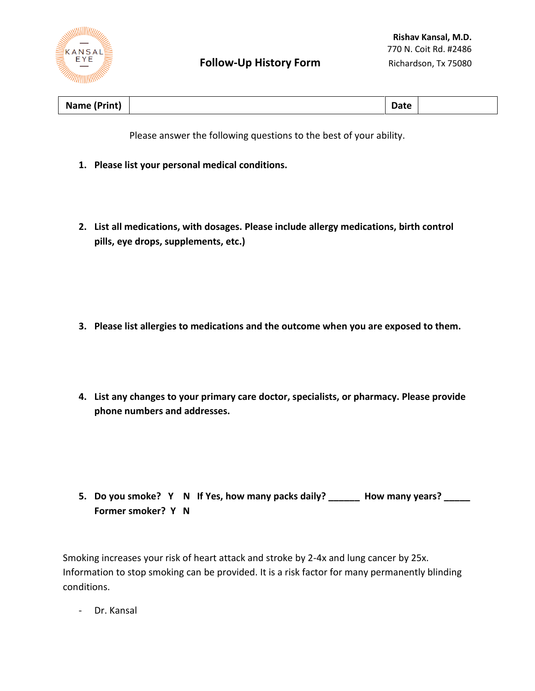

| Name (F<br>Print)<br>Date |  |
|---------------------------|--|
|---------------------------|--|

Please answer the following questions to the best of your ability.

- **1. Please list your personal medical conditions.**
- **2. List all medications, with dosages. Please include allergy medications, birth control pills, eye drops, supplements, etc.)**

- **3. Please list allergies to medications and the outcome when you are exposed to them.**
- **4. List any changes to your primary care doctor, specialists, or pharmacy. Please provide phone numbers and addresses.**

**5. Do you smoke? Y N If Yes, how many packs daily? \_\_\_\_\_\_ How many years? \_\_\_\_\_ Former smoker? Y N**

Smoking increases your risk of heart attack and stroke by 2-4x and lung cancer by 25x. Information to stop smoking can be provided. It is a risk factor for many permanently blinding conditions.

- Dr. Kansal